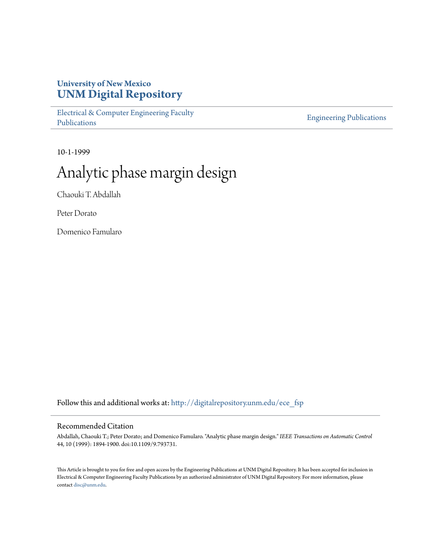# **University of New Mexico [UNM Digital Repository](http://digitalrepository.unm.edu?utm_source=digitalrepository.unm.edu%2Fece_fsp%2F190&utm_medium=PDF&utm_campaign=PDFCoverPages)**

[Electrical & Computer Engineering Faculty](http://digitalrepository.unm.edu/ece_fsp?utm_source=digitalrepository.unm.edu%2Fece_fsp%2F190&utm_medium=PDF&utm_campaign=PDFCoverPages) [Publications](http://digitalrepository.unm.edu/ece_fsp?utm_source=digitalrepository.unm.edu%2Fece_fsp%2F190&utm_medium=PDF&utm_campaign=PDFCoverPages)

[Engineering Publications](http://digitalrepository.unm.edu/eng_fsp?utm_source=digitalrepository.unm.edu%2Fece_fsp%2F190&utm_medium=PDF&utm_campaign=PDFCoverPages)

10-1-1999

# Analytic phase margin design

Chaouki T. Abdallah

Peter Dorato

Domenico Famularo

Follow this and additional works at: [http://digitalrepository.unm.edu/ece\\_fsp](http://digitalrepository.unm.edu/ece_fsp?utm_source=digitalrepository.unm.edu%2Fece_fsp%2F190&utm_medium=PDF&utm_campaign=PDFCoverPages)

# Recommended Citation

Abdallah, Chaouki T.; Peter Dorato; and Domenico Famularo. "Analytic phase margin design." *IEEE Transactions on Automatic Control* 44, 10 (1999): 1894-1900. doi:10.1109/9.793731.

This Article is brought to you for free and open access by the Engineering Publications at UNM Digital Repository. It has been accepted for inclusion in Electrical & Computer Engineering Faculty Publications by an authorized administrator of UNM Digital Repository. For more information, please contact [disc@unm.edu.](mailto:disc@unm.edu)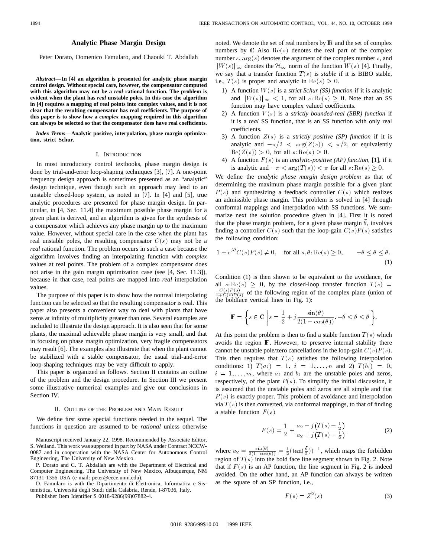# **Analytic Phase Margin Design**

Peter Dorato, Domenico Famularo, and Chaouki T. Abdallah

*Abstract—***In [4] an algorithm is presented for analytic phase margin control design. Without special care, however, the compensator computed with this algorithm may not be a** *real* **rational function. The problem is evident when the plant has** *real* **unstable poles. In this case the algorithm in [4] requires a mapping of real points into complex values, and it is not clear that the resulting compensator has real coefficients. The purpose of this paper is to show how a** *complex* **mapping required in this algorithm can always be selected so that the compensator does have real coefficients.**

*Index Terms—***Analytic positive, interpolation, phase margin optimization, strict Schur.**

#### I. INTRODUCTION

In most introductory control textbooks, phase margin design is done by trial-and-error loop-shaping techniques [3], [7]. A one-point frequency design approach is sometimes presented as an "analytic" design technique, even though such an approach may lead to an unstable closed-loop system, as noted in [7]. In [4] and [5], true analytic procedures are presented for phase margin design. In particular, in [4, Sec. 11.4] the maximum possible phase margin for a given plant is derived, and an algorithm is given for the synthesis of a compensator which achieves any phase margin up to the maximum value. However, without special care in the case when the plant has real unstable poles, the resulting compensator  $C(s)$  may not be a *real* rational function. The problem occurs in such a case because the algorithm involves finding an interpolating function with *complex* values at real points. The problem of a complex compensator does not arise in the gain margin optimization case (see [4, Sec. 11.3]), because in that case, real points are mapped into *real* interpolation values.

The purpose of this paper is to show how the nonreal interpolating function can be selected so that the resulting compensator is real. This paper also presents a convenient way to deal with plants that have zeros at infinity of multiplicity greater than one. Several examples are included to illustrate the design approach. It is also seen that for some plants, the maximal achievable phase margin is very small, and that in focusing on phase margin optimization, very fragile compensators may result [6]. The examples also illustrate that when the plant cannot be stabilized with a stable compensator, the usual trial-and-error loop-shaping techniques may be very difficult to apply.

This paper is organized as follows. Section II contains an outline of the problem and the design procedure. In Section III we present some illustrative numerical examples and give our conclusions in Section IV.

#### II. OUTLINE OF THE PROBLEM AND MAIN RESULT

We define first some special functions needed in the sequel. The functions in question are assumed to be *rational* unless otherwise

Manuscript received January 22, 1998. Recommended by Associate Editor, S. Weiland. This work was supported in part by NASA under Contract NCCW-0087 and in cooperation with the NASA Center for Autonomous Control Engineering, The University of New Mexico.

P. Dorato and C. T. Abdallah are with the Department of Electrical and Computer Engineering, The University of New Mexico, Albuquerque, NM 87131-1356 USA (e-mail: peter@eece.unm.edu).

D. Famularo is with the Dipartimento di Elettronica, Informatica e Sistemistica, Università degli Studi della Calabria, Rende, I-87036, Italy.

Publisher Item Identifier S 0018-9286(99)07882-4.

noted. We denote the set of real numbers by IR and the set of complex numbers by  $\Gamma$  Also  $\text{Re}(s)$  denotes the real part of the complex number  $s$ ,  $\arg(s)$  denotes the argument of the complex number  $s$ , and  $\|W(s)\|_{\infty}$  denotes the  $\mathcal{H}_{\infty}$  norm of the function  $W(s)$  [4]. Finally, we say that a transfer function  $T(s)$  is *stable* if it is BIBO stable, i.e.,  $T(s)$  is proper and analytic in  $\text{Re}(s) \geq 0$ .

- 1) A function  $W(s)$  is a *strict Schur (SS) function* if it is analytic and  $||W(s)||_{\infty}$  < 1, for all s:  $\text{Re}(s) \geq 0$ . Note that an SS function may have complex valued coefficients.
- 2) A function  $V(s)$  is a *strictly bounded-real (SBR) function* if it is a *real* SS function, that is an SS function with only real coefficients.
- 3) A function Z(s) is a *strictly positive (SP) function* if it is analytic and  $-\pi/2 < \arg(Z(s)) < \pi/2$ , or equivalently  $\text{Re}(Z(s)) > 0$ , for all  $s: \text{Re}(s) > 0$ .
- 4) A function F(s) is an *analytic-positive (AP) function*, [1], if it is analytic and  $-\pi < \arg(T(s)) < \pi$  for all  $s: \text{Re}(s) \geq 0$ .

We define the *analytic phase margin design problem* as that of determining the maximum phase margin possible for a given plant  $P(s)$  and synthesizing a feedback controller  $C(s)$  which realizes an admissible phase margin. This problem is solved in [4] through conformal mappings and interpolation with SS functions. We summarize next the solution procedure given in [4]. First it is noted that the phase margin problem, for a given phase margin  $\theta$ , involves finding a controller  $C(s)$  such that the loop-gain  $C(s)P(s)$  satisfies the following condition:

$$
1 + e^{j\theta} C(s) P(s) \neq 0, \quad \text{for all } s, \theta: \text{Re}(s) \ge 0, \qquad -\overline{\theta} \le \theta \le \overline{\theta}.
$$
\n(1)

Condition (1) is then shown to be equivalent to the avoidance, for all  $s: \text{Re}(s) \geq 0$ , by the closed-loop transfer function  $T(s) =$  $\frac{C(s)P(s)}{1+C(s)P(s)}$  of the following region of the complex plane (union of the boldface vertical lines in Fig. 1):

$$
\mathbb{F} = \left\{ s \in \mathcal{C} \; \middle| \; s = \frac{1}{2} + j \, \frac{\sin(\theta)}{2(1 - \cos(\theta))}, -\bar{\theta} \le \theta \le \bar{\theta} \, \right\}.
$$

At this point the problem is then to find a stable function  $T(s)$  which avoids the region  $\mathbb F$ . However, to preserve internal stability there cannot be unstable pole/zero cancellations in the loop-gain  $C(s)P(s)$ . This then requires that  $T(s)$  satisfies the following interpolation conditions: 1)  $T(a_i) = 1, i = 1, ..., n$  and 2)  $T(b_i) = 0$ ,  $i = 1, \ldots, m$ , where  $a_i$  and  $b_i$  are the unstable poles and zeros, respectively, of the plant  $P(s)$ . To simplify the initial discussion, it is assumed that the unstable poles and zeros are all simple and that  $P(s)$  is exactly proper. This problem of avoidance and interpolation via  $T(s)$  is then converted, via conformal mappings, to that of finding a stable function  $F(s)$ 

$$
F(s) = \frac{1}{2} + \frac{a_2 - j(T(s) - \frac{1}{2})}{a_2 + j(T(s) - \frac{1}{2})}
$$
 (2)

where  $a_2 = \frac{\sin(\bar{\theta})}{2(1-\cos(\bar{\theta}))} = \frac{1}{2}(\tan(\frac{\bar{\theta}}{2}))^{-1}$ , which maps the forbidden region of  $T(s)$  into the bold face line segment shown in Fig. 2. Note that if  $F(s)$  is an AP function, the line segment in Fig. 2 is indeed avoided. On the other hand, an AP function can always be written as the square of an SP function, i.e.,

$$
F(s) = Z^2(s) \tag{3}
$$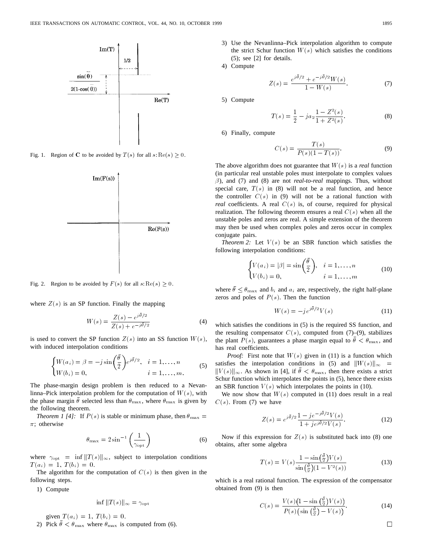

Fig. 1. Region of C to be avoided by  $T(s)$  for all  $s: \text{Re}(s) \geq 0$ .



Fig. 2. Region to be avoided by  $F(s)$  for all  $s: \text{Re}(s) \geq 0$ .

where  $Z(s)$  is an SP function. Finally the mapping

function. Finally the mapping  
\n
$$
W(s) = \frac{Z(s) - e^{j\bar{\theta}/2}}{Z(s) + e^{-j\bar{\theta}/2}}
$$
\n(4)

is used to convert the SP function  $Z(s)$  into an SS function  $W(s)$ ,<br>with induced interpolation conditions<br> $\int W(a_i) = \beta = -j \sin\left(\frac{\overline{\theta}}{2}\right) e^{j\overline{\theta}/2}, \quad i = 1, ..., n$ with induced interpolation conditions

$$
\begin{cases} W(a_i) = \beta = -j \sin\left(\frac{\theta}{2}\right) e^{j\overline{\theta}/2}, & i = 1, \dots, n \\ W(b_i) = 0, & i = 1, \dots, m. \end{cases}
$$
 (5)

The phase-margin design problem is then reduced to a Nevanlinna–Pick interpolation problem for the computation of  $W(s)$ , with the phase margin  $\theta$  selected less than  $\theta_{\text{max}}$ , where  $\theta_{\text{max}}$  is given by the following theorem.

*Theorem 1 [4]:* If  $P(s)$  is stable or minimum phase, then  $\theta_{\text{max}} =$  $\pi$ ; otherwise

$$
\theta_{\text{max}} = 2 \sin^{-1} \left( \frac{1}{\gamma_{\text{opt}}} \right)
$$
 (6)

where  $\gamma_{\text{opt}} = \inf ||T(s)||_{\infty}$ , subject to interpolation conditions  $T(a_i)=1; T(b_i)=0.$ 

The algorithm for the computation of  $C(s)$  is then given in the following steps.

1) Compute

$$
\inf \|T(s)\|_{\infty} = \gamma_{\text{opt}}
$$

given  $T(a_i)=1$ ,  $T(b_i)=0$ . 2) Pick  $\bar{\theta} < \theta_{\text{max}}$  where  $\theta_{\text{max}}$  is computed from (6). 3) Use the Nevanlinna–Pick interpolation algorithm to compute the strict Schur function  $W(s)$  which satisfies the conditions (5); see [2] for details.

4) Compute

$$
Z(s) = \frac{e^{j\bar{\theta}/2} + e^{-j\bar{\theta}/2}W(s)}{1 - W(s)}.
$$
 (7)

5) Compute

$$
T(s) = \frac{1}{2} - ja_2 \frac{1 - Z^2(s)}{1 + Z^2(s)}.
$$
 (8)

6) Finally, compute

$$
C(s) = \frac{T(s)}{P(s)(1 - T(s))}.
$$
 (9)

The above algorithm does not guarantee that  $W(s)$  is a *real* function (in particular real unstable poles must interpolate to complex values  $\beta$ ), and (7) and (8) are not *real-to-real* mappings. Thus, without special care,  $T(s)$  in (8) will not be a real function, and hence the controller  $C(s)$  in (9) will not be a rational function with *real* coefficients. A real  $C(s)$  is, of course, required for physical realization. The following theorem ensures a real  $C(s)$  when all the unstable poles and zeros are real. A simple extension of the theorem may then be used when complex poles and zeros occur in complex conjugate pairs.

*Theorem 2:* Let  $V(s)$  be an SBR function which satisfies the following interpolation conditions:

$$
\begin{cases} V(a_i) = |\beta| = \sin\left(\frac{\overline{\theta}}{2}\right), & i = 1, \dots, n \\ V(b_i) = 0, & i = 1, \dots, m \end{cases}
$$
 (10)

where  $\bar{\theta} \leq \theta_{\text{max}}$  and  $b_i$  and  $a_i$  are, respectively, the right half-plane zeros and poles of  $P(s)$ . Then the function

$$
W(s) = -j e^{j\bar{\theta}/2} V(s)
$$
 (11)

which satisfies the conditions in (5) is the required SS function, and the resulting compensator  $C(s)$ , computed from (7)–(9), stabilizes the plant  $P(s)$ , guarantees a phase margin equal to  $\bar{\theta} < \theta_{\text{max}}$ , and has real coefficients.

*Proof:* First note that  $W(s)$  given in (11) is a function which satisfies the interpolation conditions in (5) and  $\|W(s)\|_{\infty} =$  $||V(s)||_{\infty}$ . As shown in [4], if  $\bar{\theta} < \theta_{\text{max}}$ , then there exists a strict Schur function which interpolates the points in (5), hence there exists an SBR function  $V(s)$  which interpolates the points in (10).

We now show that  $W(s)$  computed in (11) does result in a real  $C(s)$ . From (7) we have

$$
Z(s) = e^{j\bar{\theta}/2} \frac{1 - j e^{-j\bar{\theta}/2} V(s)}{1 + j e^{j\bar{\theta}/2} V(s)}.
$$
 (12)

Now if this expression for  $Z(s)$  is substituted back into (8) one obtains, after some algebra

$$
T(s) = V(s) \frac{1 - \sin(\frac{\tilde{\theta}}{2})V(s)}{\sin(\frac{\tilde{\theta}}{2})(1 - V^{2}(s))}
$$
(13)

which is a real rational function. The expression of the compensator obtained from (9) is then

$$
C(s) = \frac{V(s)\left(1 - \sin\left(\frac{\bar{\theta}}{2}\right)V(s)\right)}{P(s)\left(\sin\left(\frac{\bar{\theta}}{2}\right) - V(s)\right)}.\tag{14}
$$

 $\Box$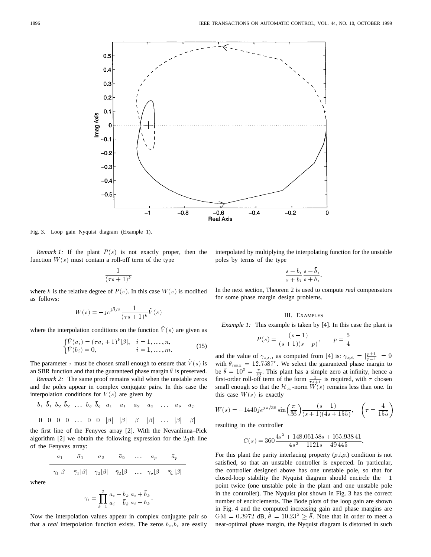

Fig. 3. Loop gain Nyquist diagram (Example 1).

*Remark 1:* If the plant  $P(s)$  is not exactly proper, then the function  $W(s)$  must contain a roll-off term of the type

$$
\frac{1}{(\tau s + 1)^k}
$$

where k is the relative degree of  $P(s)$ . In this case  $W(s)$  is modified<br>as follows:<br> $W(s) = -je^{j\bar{\theta}/2} \frac{1}{(s-1)^2} \tilde{V}(s)$ as follows:

$$
W(s) = -j e^{j\bar{\theta}/2} \frac{1}{(\tau s + 1)^k} \tilde{V}(s)
$$

where the interpolation conditions on the function  $V(s)$  are given as

$$
\begin{cases} \tilde{V}(a_i) = (\tau a_i + 1)^k |\beta|, & i = 1, ..., n, \\ \tilde{V}(b_i) = 0, & i = 1, ..., m. \end{cases}
$$
 (15)

The parameter  $\tau$  must be chosen small enough to ensure that  $\bar{V}(s)$  is an SBR function and that the guaranteed phase margin  $\bar{\theta}$  is preserved.

*Remark 2:* The same proof remains valid when the unstable zeros and the poles appear in complex conjugate pairs. In this case the interpolation conditions for  $V(s)$  are given by

$$
b_1 \ \overline{b}_1 \ b_2 \ \overline{b}_2 \ \ldots \ b_q \ \overline{b}_q \ a_1 \ \overline{a}_1 \ a_2 \ \overline{a}_2 \ \ldots \ a_p \ \overline{a}_p
$$

 $0$   $0$   $0$   $0$  ...  $0$   $0$   $\beta$   $\beta$   $\beta$   $\beta$   $\beta$   $\beta$  ...  $\beta$   $\beta$ 

the first line of the Fenyves array [2]. With the Nevanlinna–Pick algorithm [2] we obtain the following expression for the  $2q$ th line of the Fenyves array:

$$
\begin{array}{c|cccc}\n a_1 & \bar{a}_1 & a_2 & \bar{a}_2 & \dots & a_p & \bar{a}_p \\
\hline\n\gamma_1|\beta| & \bar{\gamma}_1|\beta| & \gamma_2|\beta| & \bar{\gamma}_2|\beta| & \dots & \gamma_p|\beta| & \bar{\gamma}_p|\beta|\n\end{array}
$$

where

$$
\gamma_i = \prod_{k=1}^q \frac{a_i + b_k}{a_i - \overline{b}_k} \frac{a_i + \overline{b}_k}{a_i - b_k}
$$

:

Now the interpolation values appear in complex conjugate pair so that a *real* interpolation function exists. The zeros  $b_i$ ,  $b_i$  are easily interpolated by multiplying the interpolating function for the unstable poles by terms of the type

$$
\frac{s-b_i}{s+\overline{b}_i}\frac{s-\overline{b}_i}{s+b_i}
$$

:

In the next section, Theorem 2 is used to compute *real* compensators for some phase margin design problems.

# III. EXAMPLES

*Example 1:* This example is taken by [4]. In this case the plant is

$$
P(s) = \frac{(s-1)}{(s+1)(s-p)}, \qquad p = \frac{5}{4}
$$

 $F(s) = \frac{F(s)}{(s+1)(s-p)}, \qquad p = \frac{1}{4}$ <br>and the value of  $\gamma_{\text{opt}}$ , as computed from [4] is:  $\gamma_{\text{opt}} = |\frac{p+1}{p-1}| = 9$ with  $\theta_{\text{max}} = 12.7587^{\circ}$ . We select the guaranteed phase margin to be  $\bar{\theta} = 10^{\circ} = \frac{\pi}{18}$ . This plant has a simple zero at infinity, hence a first-order roll-off term of the form  $\frac{1}{\tau s+1}$  is required, with  $\tau$  chosen small enough so that the  $\mathcal{H}_{\infty}$ -norm  $W(s)$  remains less than one. In this case  $W(s)$  is exactly

$$
W(s) = -1440j e^{j\pi/36} \sin\left(\frac{\pi}{36}\right) \frac{(s-1)}{(s+1)(4s+155)}, \quad \left(\tau = \frac{4}{155}\right)
$$

resulting in the controller

$$
C(s) = 360 \frac{4s^2 + 148.06158s + 165.93841}{4s^2 - 1121s - 49445}.
$$

For this plant the parity interlacing property (*p.i.p.*) condition is not satisfied, so that an unstable controller is expected. In particular, the controller designed above has one unstable pole, so that for closed-loop stability the Nyquist diagram should encircle the  $-1$ point twice (one unstable pole in the plant and one unstable pole in the controller). The Nyquist plot shown in Fig. 3 has the correct number of encirclements. The Bode plots of the loop gain are shown in Fig. 4 and the computed increasing gain and phase margins are GM = 0.3972 dB,  $\theta = 10.23^{\circ} \ge \theta$ . Note that in order to meet a near-optimal phase margin, the Nyquist diagram is distorted in such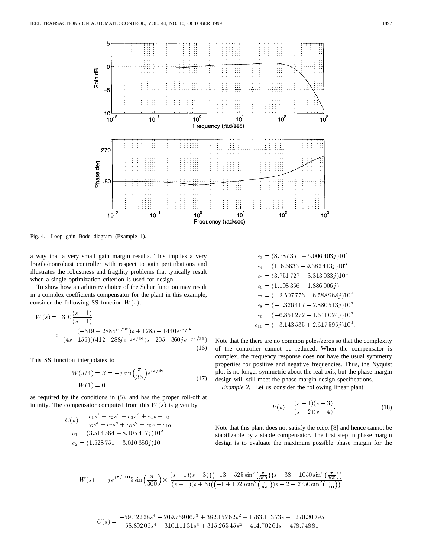

Fig. 4. Loop gain Bode diagram (Example 1).

a way that a very small gain margin results. This implies a very fragile/nonrobust controller with respect to gain perturbations and illustrates the robustness and fragility problems that typically result when a single optimization criterion is used for design.

To show how an arbitrary choice of the Schur function may result in a complex coefficients compensator for the plant in this example, consider the following SS function  $W(s)$ : To show how an arbit<br>a complex coefficient<br>msider the following  $W(s) = -310 \frac{(s-1)}{(s-1)^2}$ 

$$
W(s) = -310 \frac{(s-1)}{(s+1)}
$$
  
 
$$
\times \frac{(-319 + 288e^{j\pi/36})s + 1285 - 1440e^{j\pi/36}}{(4s+155)((412+288je^{-j\pi/36})s - 205 - 360je^{-j\pi/36})}
$$
  
(16)

This SS function interpolates to

$$
W(5/4) = \beta = -j \sin\left(\frac{\pi}{36}\right) e^{j\pi/36}
$$
  
 
$$
W(1) = 0
$$
 (17)

as required by the conditions in (5), and has the proper roll-off at infinity. The compensator computed from this  $W(s)$  is given by

$$
C(s) = \frac{c_1 s^4 + c_2 s^3 + c_3 s^2 + c_4 s + c_5}{c_6 s^4 + c_7 s^3 + c_8 s^2 + c_9 s + c_{10}}
$$
  
\n
$$
c_1 = (3.514564 + 8.105417j)10^2
$$
  
\n
$$
c_2 = (1.528751 + 3.010686j)10^4
$$

$$
c_3 = (8.787351 + 5.006403j)104
$$
  
\n
$$
c_4 = (116.6633 - 9.382413j)103
$$
  
\n
$$
c_5 = (3.751727 - 3.313033j)104
$$
  
\n
$$
c_6 = (1.198356 + 1.886006j)
$$
  
\n
$$
c_7 = (-2.507776 - 6.588968j)102
$$
  
\n
$$
c_8 = (-1.326417 - 2.880513j)104
$$
  
\n
$$
c_9 = (-6.851272 - 1.641024j)104
$$
  
\n
$$
c_{10} = (-3.143535 + 2.617595j)104
$$

Note that the there are no common poles/zeros so that the complexity of the controller cannot be reduced. When the compensator is complex, the frequency response does not have the usual symmetry properties for positive and negative frequencies. Thus, the Nyquist plot is no longer symmetric about the real axis, but the phase-margin design will still meet the phase-margin design specifications.

*Example 2:* Let us consider the following linear plant:

$$
P(s) = \frac{(s-1)(s-3)}{(s-2)(s-4)}.
$$
\n(18)

Note that this plant does not satisfy the *p.i.p.* [8] and hence cannot be stabilizable by a stable compensator. The first step in phase margin design is to evaluate the maximum possible phase margin for the

$$
W(s) = -je^{j\pi/360}5\sin\left(\frac{\pi}{360}\right) \times \frac{(s-1)(s-3)\left((-13+525\sin^2\left(\frac{\pi}{360}\right))s+38+1050\sin^2\left(\frac{\pi}{360}\right)\right)}{(s+1)(s+3)\left((-1+1025\sin^2\left(\frac{\pi}{360}\right))s-2-2750\sin^2\left(\frac{\pi}{360}\right)\right)}
$$

 $C(s) = \frac{-59.422\,28 s^4 - 209.759\,06 s^3 + 382.152\,62 s^2 + 1763.113\,73 s + 1270.300\,95}{58.892\,06 s^4 + 310.111\,31 s^3 + 315.265\,45 s^2 - 414.702\,61 s - 478.748\,81}$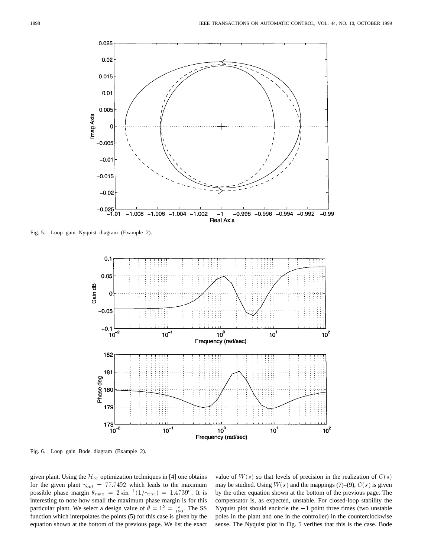

Fig. 5. Loop gain Nyquist diagram (Example 2).



Fig. 6. Loop gain Bode diagram (Example 2).

given plant. Using the  $\mathcal{H}_{\infty}$  optimization techniques in [4] one obtains for the given plant  $\gamma_{\rm opt} = 77.7492$  which leads to the maximum possible phase margin  $\theta_{\text{max}} = 2 \sin^{-1}(1/\gamma_{\text{opt}}) = 1.4739^{\circ}$ . It is interesting to note how small the maximum phase margin is for this particular plant. We select a design value of  $\bar{\theta} = 1^{\circ} = \frac{\pi}{180}$ . The SS function which interpolates the points (5) for this case is given by the equation shown at the bottom of the previous page. We list the exact

value of  $W(s)$  so that levels of precision in the realization of  $C(s)$ may be studied. Using  $W(s)$  and the mappings (7)–(9),  $C(s)$  is given by the other equation shown at the bottom of the previous page. The compensator is, as expected, unstable. For closed-loop stability the Nyquist plot should encircle the  $-1$  point three times (two unstable poles in the plant and one in the controller) in the counterclockwise sense. The Nyquist plot in Fig. 5 verifies that this is the case. Bode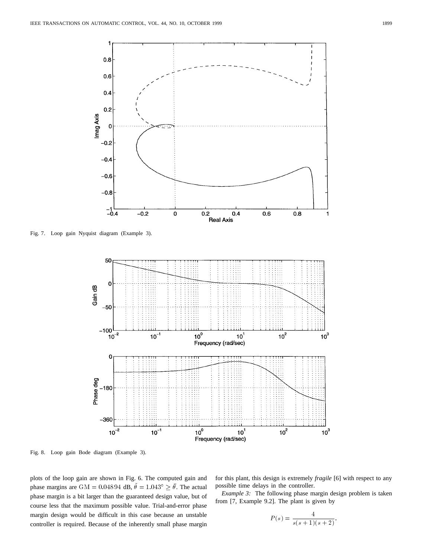

Fig. 7. Loop gain Nyquist diagram (Example 3).



Fig. 8. Loop gain Bode diagram (Example 3).

plots of the loop gain are shown in Fig. 6. The computed gain and phase margins are GM = 0.048 94 dB,  $\tilde{\theta} = 1.043^{\circ} \ge \bar{\theta}$ . The actual phase margin is a bit larger than the guaranteed design value, but of course less that the maximum possible value. Trial-and-error phase margin design would be difficult in this case because an unstable controller is required. Because of the inherently small phase margin

for this plant, this design is extremely *fragile* [6] with respect to any possible time delays in the controller.

*Example 3:* The following phase margin design problem is taken from [7, Example 9.2]. The plant is given by

$$
P(s) = \frac{4}{s(s+1)(s+2)}.
$$